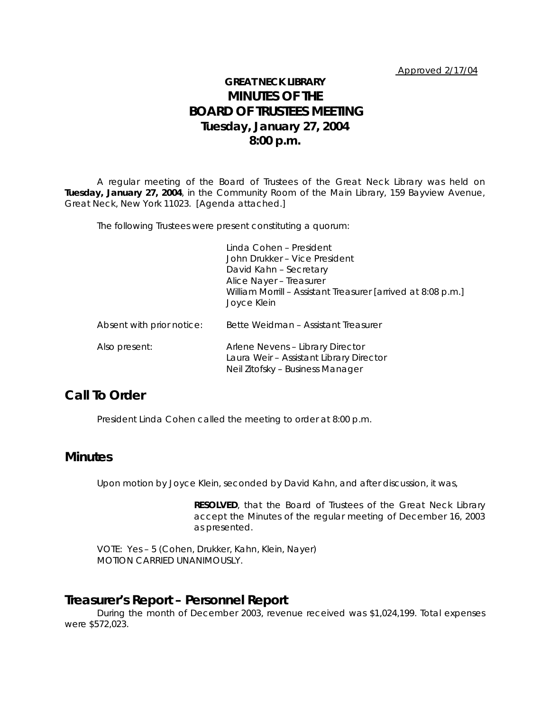# **GREAT NECK LIBRARY MINUTES OF THE BOARD OF TRUSTEES MEETING Tuesday, January 27, 2004 8:00 p.m.**

A regular meeting of the Board of Trustees of the Great Neck Library was held on **Tuesday, January 27, 2004**, in the Community Room of the Main Library, 159 Bayview Avenue, Great Neck, New York 11023. [Agenda attached.]

The following Trustees were present constituting a quorum:

|                           | Linda Cohen - President<br>John Drukker – Vice President<br>David Kahn - Secretary<br>Alice Nayer - Treasurer<br>William Morrill - Assistant Treasurer [arrived at 8:08 p.m.]<br>Joyce Klein |
|---------------------------|----------------------------------------------------------------------------------------------------------------------------------------------------------------------------------------------|
| Absent with prior notice: | Bette Weidman - Assistant Treasurer                                                                                                                                                          |
| Also present:             | Arlene Nevens - Library Director<br>Laura Weir - Assistant Library Director<br>Neil Zitofsky - Business Manager                                                                              |

### **Call To Order**

President Linda Cohen called the meeting to order at 8:00 p.m.

### **Minutes**

Upon motion by Joyce Klein, seconded by David Kahn, and after discussion, it was,

**RESOLVED**, that the Board of Trustees of the Great Neck Library accept the Minutes of the regular meeting of December 16, 2003 as presented.

VOTE:Yes – 5 (Cohen, Drukker, Kahn, Klein, Nayer) *MOTION CARRIED UNANIMOUSLY.*

#### **Treasurer's Report – Personnel Report**

During the month of December 2003, revenue received was \$1,024,199. Total expenses were \$572,023.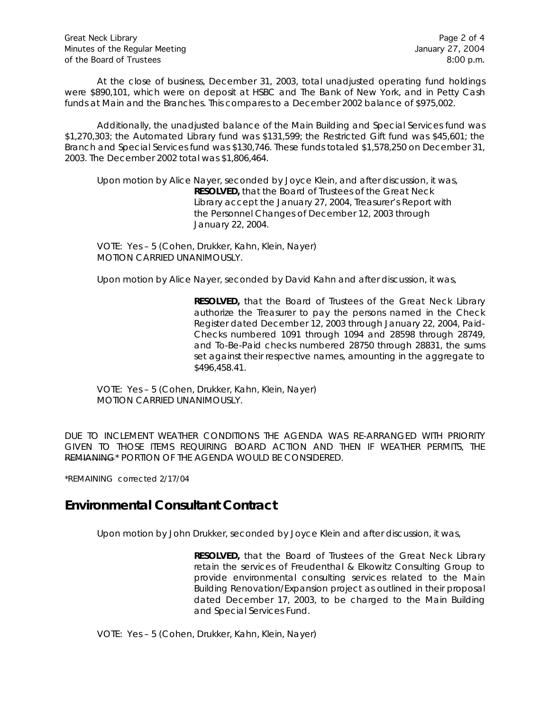At the close of business, December 31, 2003, total unadjusted operating fund holdings were \$890,101, which were on deposit at HSBC and The Bank of New York, and in Petty Cash funds at Main and the Branches. This compares to a December 2002 balance of \$975,002.

Additionally, the unadjusted balance of the Main Building and Special Services fund was \$1,270,303; the Automated Library fund was \$131,599; the Restricted Gift fund was \$45,601; the Branch and Special Services fund was \$130,746. These funds totaled \$1,578,250 on December 31, 2003. The December 2002 total was \$1,806,464.

Upon motion by Alice Nayer, seconded by Joyce Klein, and after discussion, it was, **RESOLVED,** that the Board of Trustees of the Great Neck Library accept the January 27, 2004, Treasurer's Report with the Personnel Changes of December 12, 2003 through January 22, 2004.

VOTE:Yes – 5 (Cohen, Drukker, Kahn, Klein, Nayer) *MOTION CARRIED UNANIMOUSLY.*

Upon motion by Alice Nayer, seconded by David Kahn and after discussion, it was,

**RESOLVED,** that the Board of Trustees of the Great Neck Library authorize the Treasurer to pay the persons named in the Check Register dated December 12, 2003 through January 22, 2004, Paid-Checks numbered 1091 through 1094 and 28598 through 28749, and To-Be-Paid checks numbered 28750 through 28831, the sums set against their respective names, amounting in the aggregate to \$496,458.41.

VOTE:Yes – 5 (Cohen, Drukker, Kahn, Klein, Nayer) *MOTION CARRIED UNANIMOUSLY.*

DUE TO INCLEMENT WEATHER CONDITIONS THE AGENDA WAS RE-ARRANGED WITH PRIORITY GIVEN TO THOSE ITEMS REQUIRING BOARD ACTION AND THEN IF WEATHER PERMITS, THE REMIANING\* PORTION OF THE AGENDA WOULD BE CONSIDERED.

\*REMAINING corrected 2/17/04

### **Environmental Consultant Contract**

Upon motion by John Drukker, seconded by Joyce Klein and after discussion, it was,

**RESOLVED,** that the Board of Trustees of the Great Neck Library retain the services of Freudenthal & Elkowitz Consulting Group to provide environmental consulting services related to the Main Building Renovation/Expansion project as outlined in their proposal dated December 17, 2003, to be charged to the Main Building and Special Services Fund.

VOTE:Yes – 5 (Cohen, Drukker, Kahn, Klein, Nayer)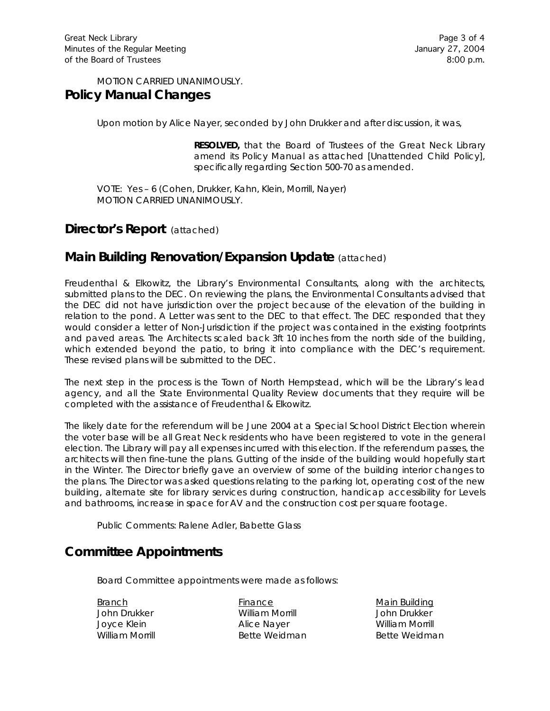#### *MOTION CARRIED UNANIMOUSLY.* **Policy Manual Changes**

Upon motion by Alice Nayer, seconded by John Drukker and after discussion, it was,

**RESOLVED,** that the Board of Trustees of the Great Neck Library amend its Policy Manual as attached [Unattended Child Policy], specifically regarding Section 500-70 as amended.

VOTE:Yes – 6 (Cohen, Drukker, Kahn, Klein, Morrill, Nayer) *MOTION CARRIED UNANIMOUSLY.*

## **Director's Report** (attached)

# **Main Building Renovation/Expansion Update** (attached)

Freudenthal & Elkowitz, the Library's Environmental Consultants, along with the architects, submitted plans to the DEC. On reviewing the plans, the Environmental Consultants advised that the DEC did not have jurisdiction over the project because of the elevation of the building in relation to the pond. A Letter was sent to the DEC to that effect. The DEC responded that they would consider a letter of Non-Jurisdiction if the project was contained in the existing footprints and paved areas. The Architects scaled back 3ft 10 inches from the north side of the building, which extended beyond the patio, to bring it into compliance with the DEC's requirement. These revised plans will be submitted to the DEC.

The next step in the process is the Town of North Hempstead, which will be the Library's lead agency, and all the State Environmental Quality Review documents that they require will be completed with the assistance of Freudenthal & Elkowitz.

The likely date for the referendum will be June 2004 at a Special School District Election wherein the voter base will be all Great Neck residents who have been registered to vote in the general election. The Library will pay all expenses incurred with this election. If the referendum passes, the architects will then fine-tune the plans. Gutting of the inside of the building would hopefully start in the Winter. The Director briefly gave an overview of some of the building interior changes to the plans. The Director was asked questions relating to the parking lot, operating cost of the new building, alternate site for library services during construction, handicap accessibility for Levels and bathrooms, increase in space for AV and the construction cost per square footage.

Public Comments: Ralene Adler, Babette Glass

# **Committee Appointments**

Board Committee appointments were made as follows:

Branch **Finance** Finance Main Building John Drukker William Morrill John Drukker Joyce Klein Alice Nayer William Morrill William Morrill **Bette Weidman** Bette Weidman Bette Weidman